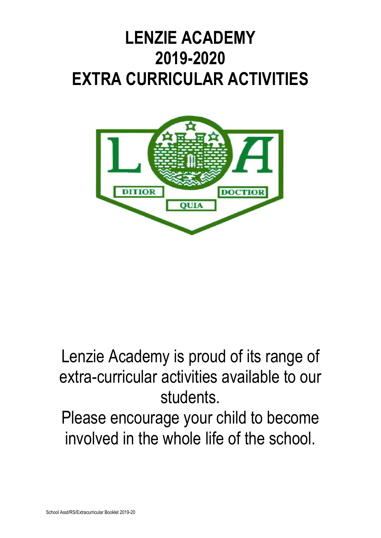## **LENZIE ACADEMY 2019-2020 EXTRA CURRICULAR ACTIVITIES**



## Lenzie Academy is proud of its range of extra-curricular activities available to our students.

Please encourage your child to become involved in the whole life of the school.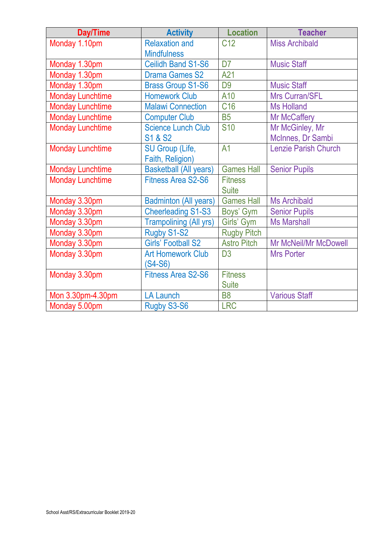| <b>Day/Time</b>         | <b>Activity</b>               | <b>Location</b>    | <b>Teacher</b>              |
|-------------------------|-------------------------------|--------------------|-----------------------------|
| Monday 1.10pm           | <b>Relaxation and</b>         | C <sub>12</sub>    | <b>Miss Archibald</b>       |
|                         | <b>Mindfulness</b>            |                    |                             |
| Monday 1.30pm           | <b>Ceilidh Band S1-S6</b>     | D <sub>7</sub>     | <b>Music Staff</b>          |
| Monday 1.30pm           | <b>Drama Games S2</b>         | A21                |                             |
| Monday 1.30pm           | <b>Brass Group S1-S6</b>      | D <sub>9</sub>     | <b>Music Staff</b>          |
| <b>Monday Lunchtime</b> | <b>Homework Club</b>          | A10                | Mrs Curran/SFL              |
| <b>Monday Lunchtime</b> | <b>Malawi Connection</b>      | C <sub>16</sub>    | <b>Ms Holland</b>           |
| <b>Monday Lunchtime</b> | <b>Computer Club</b>          | <b>B5</b>          | <b>Mr McCaffery</b>         |
| <b>Monday Lunchtime</b> | <b>Science Lunch Club</b>     | <b>S10</b>         | Mr McGinley, Mr             |
|                         | S1 & S2                       |                    | McInnes, Dr Sambi           |
| <b>Monday Lunchtime</b> | SU Group (Life,               | A <sub>1</sub>     | <b>Lenzie Parish Church</b> |
|                         | Faith, Religion)              |                    |                             |
| <b>Monday Lunchtime</b> | <b>Basketball (All years)</b> | <b>Games Hall</b>  | <b>Senior Pupils</b>        |
| <b>Monday Lunchtime</b> | <b>Fitness Area S2-S6</b>     | <b>Fitness</b>     |                             |
|                         |                               | <b>Suite</b>       |                             |
| Monday 3.30pm           | <b>Badminton (All years)</b>  | <b>Games Hall</b>  | <b>Ms Archibald</b>         |
| Monday 3.30pm           | <b>Cheerleading S1-S3</b>     | Boys' Gym          | <b>Senior Pupils</b>        |
| Monday 3.30pm           | <b>Trampolining (All yrs)</b> | Girls' Gym         | <b>Ms Marshall</b>          |
| Monday 3.30pm           | Rugby S1-S2                   | <b>Rugby Pitch</b> |                             |
| Monday 3.30pm           | <b>Girls' Football S2</b>     | <b>Astro Pitch</b> | Mr McNeil/Mr McDowell       |
| Monday 3.30pm           | <b>Art Homework Club</b>      | D <sub>3</sub>     | <b>Mrs Porter</b>           |
|                         | $(S4-S6)$                     |                    |                             |
| Monday 3.30pm           | <b>Fitness Area S2-S6</b>     | <b>Fitness</b>     |                             |
|                         |                               | <b>Suite</b>       |                             |
| Mon 3.30pm-4.30pm       | <b>LA Launch</b>              | <b>B8</b>          | <b>Various Staff</b>        |
| Monday 5.00pm           | <b>Rugby S3-S6</b>            | <b>LRC</b>         |                             |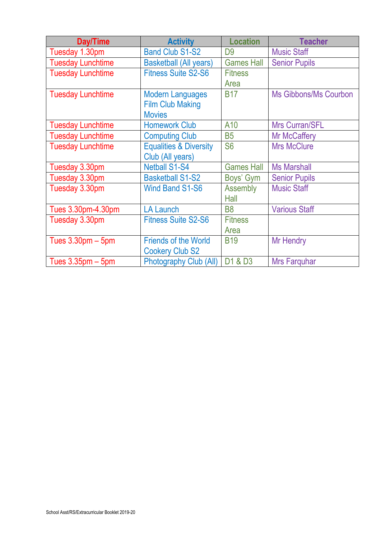| Day/Time                 | <b>Activity</b>                   | <b>Location</b>   | <b>Teacher</b>        |
|--------------------------|-----------------------------------|-------------------|-----------------------|
| Tuesday 1.30pm           | <b>Band Club S1-S2</b>            | D <sub>9</sub>    | <b>Music Staff</b>    |
| <b>Tuesday Lunchtime</b> | <b>Basketball (All years)</b>     | <b>Games Hall</b> | <b>Senior Pupils</b>  |
| <b>Tuesday Lunchtime</b> | <b>Fitness Suite S2-S6</b>        | <b>Fitness</b>    |                       |
|                          |                                   | Area              |                       |
| <b>Tuesday Lunchtime</b> | <b>Modern Languages</b>           | <b>B17</b>        | Ms Gibbons/Ms Courbon |
|                          | <b>Film Club Making</b>           |                   |                       |
|                          | <b>Movies</b>                     |                   |                       |
| <b>Tuesday Lunchtime</b> | <b>Homework Club</b>              | A10               | <b>Mrs Curran/SFL</b> |
| <b>Tuesday Lunchtime</b> | <b>Computing Club</b>             | <b>B5</b>         | <b>Mr McCaffery</b>   |
| <b>Tuesday Lunchtime</b> | <b>Equalities &amp; Diversity</b> | <b>S6</b>         | <b>Mrs McClure</b>    |
|                          | Club (All years)                  |                   |                       |
| Tuesday 3.30pm           | <b>Netball S1-S4</b>              | <b>Games Hall</b> | <b>Ms Marshall</b>    |
| Tuesday 3.30pm           | <b>Basketball S1-S2</b>           | Boys' Gym         | <b>Senior Pupils</b>  |
| Tuesday 3.30pm           | <b>Wind Band S1-S6</b>            | <b>Assembly</b>   | <b>Music Staff</b>    |
|                          |                                   | Hall              |                       |
| Tues 3.30pm-4.30pm       | LA Launch                         | <b>B8</b>         | <b>Various Staff</b>  |
| Tuesday 3.30pm           | <b>Fitness Suite S2-S6</b>        | <b>Fitness</b>    |                       |
|                          |                                   | Area              |                       |
| Tues $3.30pm - 5pm$      | <b>Friends of the World</b>       | <b>B19</b>        | Mr Hendry             |
|                          | <b>Cookery Club S2</b>            |                   |                       |
| Tues $3.35$ pm $-5$ pm   | <b>Photography Club (All)</b>     | D1 & D3           | Mrs Farquhar          |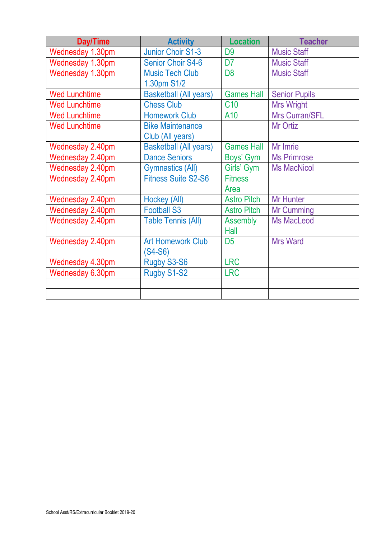| <b>Day/Time</b>         | <b>Activity</b>               | <b>Location</b>    | <b>Teacher</b>       |
|-------------------------|-------------------------------|--------------------|----------------------|
| Wednesday 1.30pm        | Junior Choir S1-3             | D <sub>9</sub>     | <b>Music Staff</b>   |
| Wednesday 1.30pm        | <b>Senior Choir S4-6</b>      | D <sub>7</sub>     | <b>Music Staff</b>   |
| Wednesday 1.30pm        | <b>Music Tech Club</b>        | D <sub>8</sub>     | <b>Music Staff</b>   |
|                         | 1.30pm S1/2                   |                    |                      |
| <b>Wed Lunchtime</b>    | <b>Basketball (All years)</b> | <b>Games Hall</b>  | <b>Senior Pupils</b> |
| <b>Wed Lunchtime</b>    | <b>Chess Club</b>             | C <sub>10</sub>    | <b>Mrs Wright</b>    |
| <b>Wed Lunchtime</b>    | <b>Homework Club</b>          | A10                | Mrs Curran/SFL       |
| <b>Wed Lunchtime</b>    | <b>Bike Maintenance</b>       |                    | <b>Mr Ortiz</b>      |
|                         | Club (All years)              |                    |                      |
| Wednesday 2.40pm        | <b>Basketball (All years)</b> | <b>Games Hall</b>  | Mr Imrie             |
| Wednesday 2.40pm        | <b>Dance Seniors</b>          | Boys' Gym          | <b>Ms Primrose</b>   |
| Wednesday 2.40pm        | <b>Gymnastics (All)</b>       | Girls' Gym         | <b>Ms MacNicol</b>   |
| <b>Wednesday 2.40pm</b> | <b>Fitness Suite S2-S6</b>    | <b>Fitness</b>     |                      |
|                         |                               | Area               |                      |
| Wednesday 2.40pm        | Hockey (All)                  | <b>Astro Pitch</b> | Mr Hunter            |
| <b>Wednesday 2.40pm</b> | <b>Football S3</b>            | <b>Astro Pitch</b> | Mr Cumming           |
| Wednesday 2.40pm        | <b>Table Tennis (All)</b>     | Assembly           | <b>Ms MacLeod</b>    |
|                         |                               | Hall               |                      |
| Wednesday 2.40pm        | <b>Art Homework Club</b>      | D <sub>5</sub>     | <b>Mrs Ward</b>      |
|                         | $(S4-S6)$                     |                    |                      |
| Wednesday 4.30pm        | <b>Rugby S3-S6</b>            | <b>LRC</b>         |                      |
| Wednesday 6.30pm        | <b>Rugby S1-S2</b>            | <b>LRC</b>         |                      |
|                         |                               |                    |                      |
|                         |                               |                    |                      |